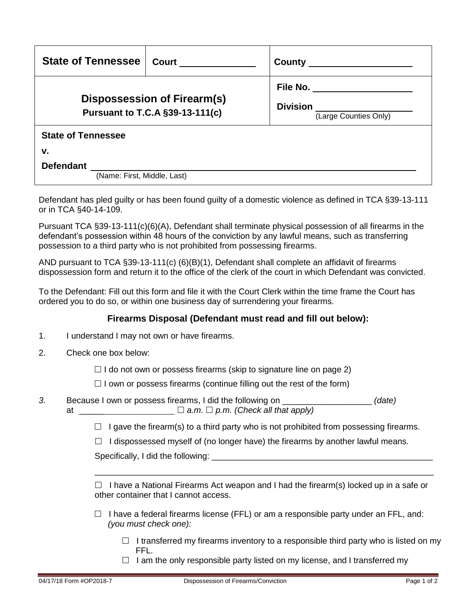| <b>State of Tennessee</b>                                                    | <b>Court</b> | $County$ <sub>_____</sub>                                           |  |  |
|------------------------------------------------------------------------------|--------------|---------------------------------------------------------------------|--|--|
| <b>Dispossession of Firearm(s)</b><br><b>Pursuant to T.C.A §39-13-111(c)</b> |              | File No. ______________<br><b>Division</b><br>(Large Counties Only) |  |  |
| <b>State of Tennessee</b>                                                    |              |                                                                     |  |  |
| v.                                                                           |              |                                                                     |  |  |
| <b>Defendant</b>                                                             |              |                                                                     |  |  |
| (Name: First, Middle, Last)                                                  |              |                                                                     |  |  |

Defendant has pled guilty or has been found guilty of a domestic violence as defined in TCA §39-13-111 or in TCA §40-14-109.

Pursuant TCA §39-13-111(c)(6)(A), Defendant shall terminate physical possession of all firearms in the defendant's possession within 48 hours of the conviction by any lawful means, such as transferring possession to a third party who is not prohibited from possessing firearms.

AND pursuant to TCA §39-13-111(c) (6)(B)(1), Defendant shall complete an affidavit of firearms dispossession form and return it to the office of the clerk of the court in which Defendant was convicted.

To the Defendant: Fill out this form and file it with the Court Clerk within the time frame the Court has ordered you to do so, or within one business day of surrendering your firearms.

## **Firearms Disposal (Defendant must read and fill out below):**

- 1. I understand I may not own or have firearms.
- 2. Check one box below:

 $\Box$  I do not own or possess firearms (skip to signature line on page 2)

 $\Box$  I own or possess firearms (continue filling out the rest of the form)

*3.* Because I own or possess firearms, I did the following on \_\_\_\_\_\_\_\_\_\_\_\_\_\_\_\_\_\_\_ *(date)* at  $\Box$  *a.m.*  $\Box$  *p.m.* (Check all that apply)

 $\Box$  I gave the firearm(s) to a third party who is not prohibited from possessing firearms.

 $\Box$  I dispossessed myself of (no longer have) the firearms by another lawful means.

Specifically, I did the following:

 $\Box$  I have a National Firearms Act weapon and I had the firearm(s) locked up in a safe or other container that I cannot access.

\_\_\_\_\_\_\_\_\_\_\_\_\_\_\_\_\_\_\_\_\_\_\_\_\_\_\_\_\_\_\_\_\_\_\_\_\_\_\_\_\_\_\_\_\_\_\_\_\_\_\_\_\_\_\_\_\_\_\_\_\_\_\_\_\_\_\_\_\_\_\_\_

- $\Box$  I have a federal firearms license (FFL) or am a responsible party under an FFL, and: *(you must check one):*
	- $\Box$  I transferred my firearms inventory to a responsible third party who is listed on my FFL.
	- $\Box$  I am the only responsible party listed on my license, and I transferred my